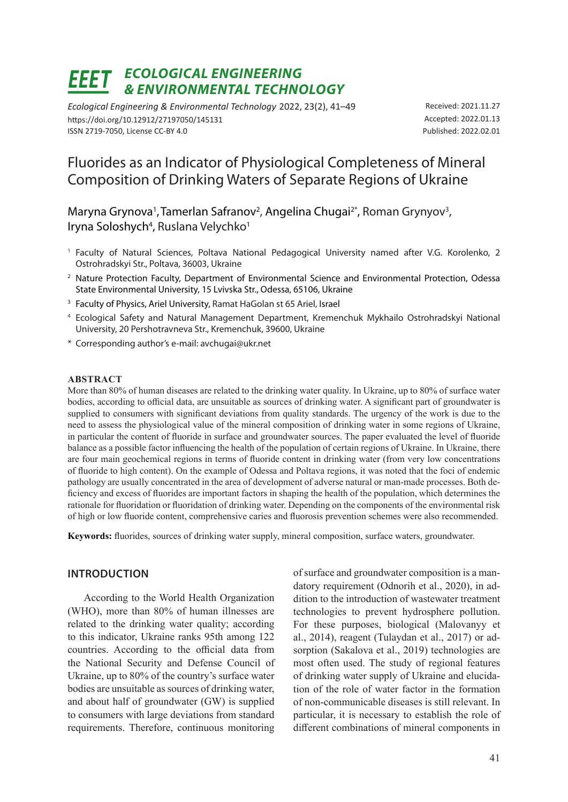# *ECOLOGICAL ENGINEERING & ENVIRONMENTAL TECHNOLOGY*

*Ecological Engineering & Environmental Technology* 2022, 23(2), 41–49 https://doi.org/10.12912/27197050/145131 ISSN 2719-7050, License CC-BY 4.0

Received: 2021.11.27 Accepted: 2022.01.13 Published: 2022.02.01

## Fluorides as an Indicator of Physiological Completeness of Mineral Composition of Drinking Waters of Separate Regions of Ukraine

Maryna Grynova<sup>1</sup>, Tamerlan Safranov<sup>2</sup>, Angelina Chugai<sup>2\*</sup>, Roman Grynyov<sup>3</sup>, Iryna Soloshych<sup>4</sup>, Ruslana Velychko<sup>1</sup>

- <sup>1</sup> Faculty of Natural Sciences, Poltava National Pedagogical University named after V.G. Korolenko, 2 Ostrohradskyi Str., Poltava, 36003, Ukraine
- <sup>2</sup> Nature Protection Faculty, Department of Environmental Science and Environmental Protection, Odessa State Environmental University, 15 Lvivska Str., Odessa, 65106, Ukraine
- <sup>3</sup> Faculty of Physics, Ariel University, Ramat HaGolan st 65 Ariel, Israel
- <sup>4</sup> Ecological Safety and Natural Management Department, Kremenchuk Mykhailo Ostrohradskyi National University, 20 Pershotravneva Str., Kremenchuk, 39600, Ukraine
- \* Corresponding author's e-mail: avchugai@ukr.net

#### **ABSTRACT**

More than 80% of human diseases are related to the drinking water quality. In Ukraine, up to 80% of surface water bodies, according to official data, are unsuitable as sources of drinking water. A significant part of groundwater is supplied to consumers with significant deviations from quality standards. The urgency of the work is due to the need to assess the physiological value of the mineral composition of drinking water in some regions of Ukraine, in particular the content of fluoride in surface and groundwater sources. The paper evaluated the level of fluoride balance as a possible factor influencing the health of the population of certain regions of Ukraine. In Ukraine, there are four main geochemical regions in terms of fluoride content in drinking water (from very low concentrations of fluoride to high content). On the example of Odessa and Poltava regions, it was noted that the foci of endemic pathology are usually concentrated in the area of development of adverse natural or man-made processes. Both deficiency and excess of fluorides are important factors in shaping the health of the population, which determines the rationale for fluoridation or fluoridation of drinking water. Depending on the components of the environmental risk of high or low fluoride content, comprehensive caries and fluorosis prevention schemes were also recommended.

**Keywords:** fluorides, sources of drinking water supply, mineral composition, surface waters, groundwater.

#### **INTRODUCTION**

According to the World Health Organization (WHO), more than 80% of human illnesses are related to the drinking water quality; according to this indicator, Ukraine ranks 95th among 122 countries. According to the official data from the National Security and Defense Council of Ukraine, up to 80% of the country's surface water bodies are unsuitable as sources of drinking water, and about half of groundwater (GW) is supplied to consumers with large deviations from standard requirements. Therefore, continuous monitoring

of surface and groundwater composition is a mandatory requirement (Odnorih et al., 2020), in addition to the introduction of wastewater treatment technologies to prevent hydrosphere pollution. For these purposes, biological (Malovanyy et al., 2014), reagent (Tulaydan et al., 2017) or adsorption (Sakalova et al., 2019) technologies are most often used. The study of regional features of drinking water supply of Ukraine and elucidation of the role of water factor in the formation of non-communicable diseases is still relevant. In particular, it is necessary to establish the role of different combinations of mineral components in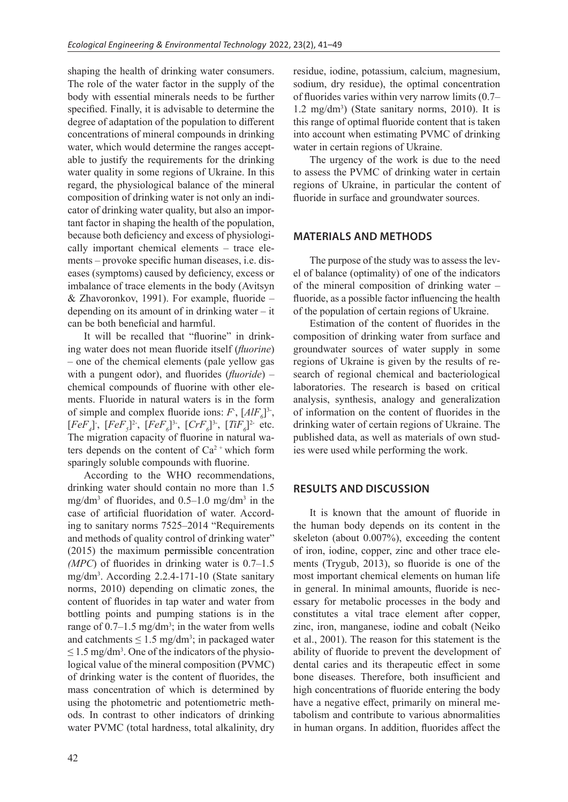shaping the health of drinking water consumers. The role of the water factor in the supply of the body with essential minerals needs to be further specified. Finally, it is advisable to determine the degree of adaptation of the population to different concentrations of mineral compounds in drinking water, which would determine the ranges acceptable to justify the requirements for the drinking water quality in some regions of Ukraine. In this regard, the physiological balance of the mineral composition of drinking water is not only an indicator of drinking water quality, but also an important factor in shaping the health of the population, because both deficiency and excess of physiologically important chemical elements – trace elements – provoke specific human diseases, i.e. diseases (symptoms) caused by deficiency, excess or imbalance of trace elements in the body (Avitsyn & Zhavoronkov, 1991). For example, fluoride – depending on its amount of in drinking water – it can be both beneficial and harmful.

It will be recalled that "fluorine" in drinking water does not mean fluoride itself (*fluorine*) – one of the chemical elements (pale yellow gas with a pungent odor), and fluorides (*fluoride*) – chemical compounds of fluorine with other elements. Fluoride in natural waters is in the form of simple and complex fluoride ions:  $F$ ,  $[AlF<sub>6</sub>]$ <sup>3-</sup>,  $[FeF<sub>4</sub>]$ ;  $[FeF<sub>5</sub>]$ <sup>2</sup>;  $[FeF<sub>6</sub>]$ <sup>3</sup>;  $[CrF<sub>6</sub>]$ <sup>3</sup>;  $[TiF<sub>6</sub>]$ <sup>2</sup> etc. The migration capacity of fluorine in natural waters depends on the content of  $Ca^{2+}$  which form sparingly soluble compounds with fluorine.

According to the WHO recommendations, drinking water should contain no more than 1.5 mg/dm<sup>3</sup> of fluorides, and  $0.5-1.0$  mg/dm<sup>3</sup> in the case of artificial fluoridation of water. According to sanitary norms 7525–2014 "Requirements and methods of quality control of drinking water" (2015) the maximum permissible concentration *(MPC*) of fluorides in drinking water is 0.7–1.5 mg/dm3 . According 2.2.4-171-10 (State sanitary norms, 2010) depending on climatic zones, the content of fluorides in tap water and water from bottling points and pumping stations is in the range of  $0.7-1.5$  mg/dm<sup>3</sup>; in the water from wells and catchments  $\leq 1.5$  mg/dm<sup>3</sup>; in packaged water  $\leq$  1.5 mg/dm<sup>3</sup>. One of the indicators of the physiological value of the mineral composition (PVMC) of drinking water is the content of fluorides, the mass concentration of which is determined by using the photometric and potentiometric methods. In contrast to other indicators of drinking water PVMC (total hardness, total alkalinity, dry

residue, iodine, potassium, calcium, magnesium, sodium, dry residue), the optimal concentration of fluorides varies within very narrow limits (0.7– 1.2 mg/dm3 ) (State sanitary norms, 2010). It is this range of optimal fluoride content that is taken into account when estimating PVMC of drinking water in certain regions of Ukraine.

The urgency of the work is due to the need to assess the PVMC of drinking water in certain regions of Ukraine, in particular the content of fluoride in surface and groundwater sources.

#### **MATERIALS AND METHODS**

The purpose of the study was to assess the level of balance (optimality) of one of the indicators of the mineral composition of drinking water – fluoride, as a possible factor influencing the health of the population of certain regions of Ukraine.

Estimation of the content of fluorides in the composition of drinking water from surface and groundwater sources of water supply in some regions of Ukraine is given by the results of research of regional chemical and bacteriological laboratories. The research is based on critical analysis, synthesis, analogy and generalization of information on the content of fluorides in the drinking water of certain regions of Ukraine. The published data, as well as materials of own studies were used while performing the work.

#### **RESULTS AND DISCUSSION**

It is known that the amount of fluoride in the human body depends on its content in the skeleton (about 0.007%), exceeding the content of iron, iodine, copper, zinc and other trace elements (Trygub, 2013), so fluoride is one of the most important chemical elements on human life in general. In minimal amounts, fluoride is necessary for metabolic processes in the body and constitutes a vital trace element after copper, zinc, iron, manganese, iodine and cobalt (Neiko et al., 2001). The reason for this statement is the ability of fluoride to prevent the development of dental caries and its therapeutic effect in some bone diseases. Therefore, both insufficient and high concentrations of fluoride entering the body have a negative effect, primarily on mineral metabolism and contribute to various abnormalities in human organs. In addition, fluorides affect the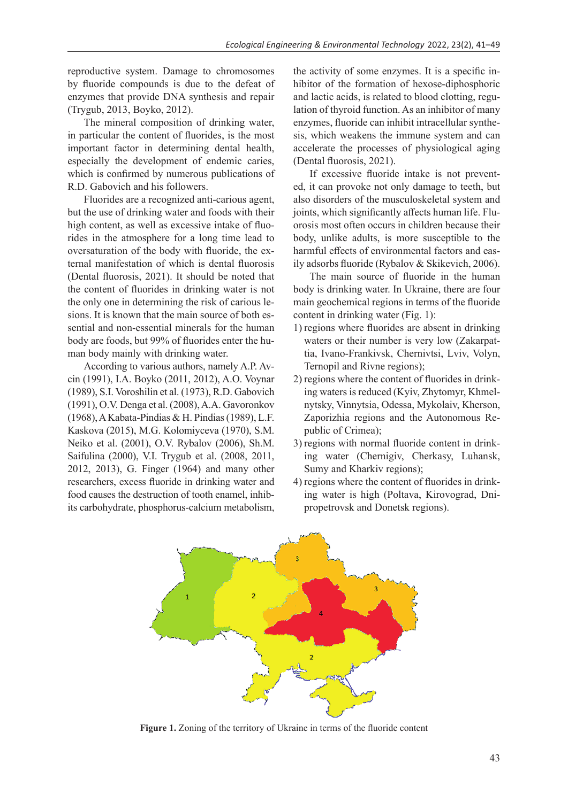reproductive system. Damage to chromosomes by fluoride compounds is due to the defeat of enzymes that provide DNA synthesis and repair (Trygub, 2013, Boyko, 2012).

The mineral composition of drinking water, in particular the content of fluorides, is the most important factor in determining dental health, especially the development of endemic caries, which is confirmed by numerous publications of R.D. Gabovich and his followers.

Fluorides are a recognized anti-carious agent, but the use of drinking water and foods with their high content, as well as excessive intake of fluorides in the atmosphere for a long time lead to oversaturation of the body with fluoride, the external manifestation of which is dental fluorosis (Dental fluorosis, 2021). It should be noted that the content of fluorides in drinking water is not the only one in determining the risk of carious lesions. It is known that the main source of both essential and non-essential minerals for the human body are foods, but 99% of fluorides enter the human body mainly with drinking water.

According to various authors, namely A.P. Avcin (1991), I.A. Boykо (2011, 2012), A.O. Voynar (1989), S.I. Voroshilin et al. (1973), R.D. Gabovich (1991), O.V. Dengа et al. (2008), A.A. Gavoronkov (1968), A Kabata-Pindias & H. Pindias (1989), L.F. Kaskova (2015), M.G. Kolomiyceva (1970), S.M. Neiko et al. (2001), O.V. Rybalov (2006), Sh.M. Saifulina (2000), V.I. Trygub et al. (2008, 2011, 2012, 2013), G. Finger (1964) and many other researchers, excess fluoride in drinking water and food causes the destruction of tooth enamel, inhibits carbohydrate, phosphorus-calcium metabolism, the activity of some enzymes. It is a specific inhibitor of the formation of hexose-diphosphoric and lactic acids, is related to blood clotting, regulation of thyroid function. As an inhibitor of many enzymes, fluoride can inhibit intracellular synthesis, which weakens the immune system and can accelerate the processes of physiological aging (Dental fluorosis, 2021).

If excessive fluoride intake is not prevented, it can provoke not only damage to teeth, but also disorders of the musculoskeletal system and joints, which significantly affects human life. Fluorosis most often occurs in children because their body, unlike adults, is more susceptible to the harmful effects of environmental factors and easily adsorbs fluoride (Rybalov & Skikevich, 2006).

The main source of fluoride in the human body is drinking water. In Ukraine, there are four main geochemical regions in terms of the fluoride content in drinking water (Fig. 1):

- 1) regions where fluorides are absent in drinking waters or their number is very low (Zakarpattia, Ivano-Frankivsk, Chernivtsi, Lviv, Volyn, Ternopil and Rivne regions);
- 2) regions where the content of fluorides in drinking waters is reduced (Kyiv, Zhytomyr, Khmelnytsky, Vinnytsia, Odessa, Mykolaiv, Kherson, Zaporizhia regions and the Autonomous Republic of Crimea);
- 3) regions with normal fluoride content in drinking water (Chernigiv, Cherkasy, Luhansk, Sumy and Kharkiv regions);
- 4) regions where the content of fluorides in drinking water is high (Poltava, Kirovograd, Dnipropetrovsk and Donetsk regions).



**Figure 1.** Zoning of the territory of Ukraine in terms of the fluoride content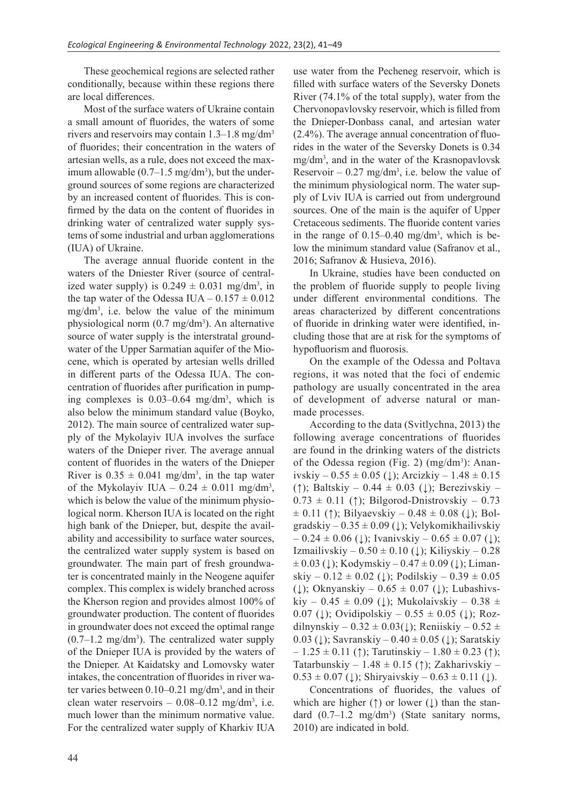These geochemical regions are selected rather conditionally, because within these regions there are local differences.

Most of the surface waters of Ukraine contain a small amount of fluorides, the waters of some rivers and reservoirs may contain 1.3–1.8 mg/dm3 of fluorides; their concentration in the waters of artesian wells, as a rule, does not exceed the maximum allowable  $(0.7-1.5 \text{ mg/dm}^3)$ , but the underground sources of some regions are characterized by an increased content of fluorides. This is confirmed by the data on the content of fluorides in drinking water of centralized water supply systems of some industrial and urban agglomerations (IUA) of Ukraine.

The average annual fluoride content in the waters of the Dniester River (source of centralized water supply) is  $0.249 \pm 0.031$  mg/dm<sup>3</sup>, in the tap water of the Odessa IUA –  $0.157 \pm 0.012$  $mg/dm<sup>3</sup>$ , i.e. below the value of the minimum physiological norm (0.7 mg/dm<sup>3</sup>). An alternative source of water supply is the interstratal groundwater of the Upper Sarmatian aquifer of the Miocene, which is operated by artesian wells drilled in different parts of the Odessa IUA. The concentration of fluorides after purification in pumping complexes is 0.03–0.64 mg/dm<sup>3</sup> , which is also below the minimum standard value (Boyko, 2012). The main source of centralized water supply of the Mykolayiv IUA involves the surface waters of the Dnieper river. The average annual content of fluorides in the waters of the Dnieper River is  $0.35 \pm 0.041$  mg/dm<sup>3</sup>, in the tap water of the Mykolayiv IUA –  $0.24 \pm 0.011$  mg/dm<sup>3</sup>, which is below the value of the minimum physiological norm. Kherson IUA is located on the right high bank of the Dnieper, but, despite the availability and accessibility to surface water sources, the centralized water supply system is based on groundwater. The main part of fresh groundwater is concentrated mainly in the Neogene aquifer complex. This complex is widely branched across the Kherson region and provides almost 100% of groundwater production. The content of fluorides in groundwater does not exceed the optimal range  $(0.7-1.2 \text{ mg/dm}^3)$ . The centralized water supply of the Dnieper IUA is provided by the waters of the Dnieper. At Kaidatsky and Lomovsky water intakes, the concentration of fluorides in river water varies between  $0.10 - 0.21$  mg/dm<sup>3</sup>, and in their clean water reservoirs  $-0.08-0.12$  mg/dm<sup>3</sup>, i.e. much lower than the minimum normative value. For the centralized water supply of Kharkiv IUA

use water from the Pecheneg reservoir, which is filled with surface waters of the Seversky Donets River (74.1% of the total supply), water from the Chervonopavlovsky reservoir, which is filled from the Dnieper-Donbass canal, and artesian water (2.4%). The average annual concentration of fluorides in the water of the Seversky Donets is 0.34 mg/dm3 , and in the water of the Krasnopavlovsk Reservoir  $-0.27$  mg/dm<sup>3</sup>, i.e. below the value of the minimum physiological norm. The water supply of Lviv IUA is carried out from underground sources. One of the main is the aquifer of Upper Cretaceous sediments. The fluoride content varies in the range of  $0.15-0.40$  mg/dm<sup>3</sup>, which is below the minimum standard value (Safranov et al., 2016; Safranov & Husieva, 2016).

In Ukraine, studies have been conducted on the problem of fluoride supply to people living under different environmental conditions. The areas characterized by different concentrations of fluoride in drinking water were identified, including those that are at risk for the symptoms of hypofluorism and fluorosis.

On the example of the Odessa and Poltava regions, it was noted that the foci of endemic pathology are usually concentrated in the area of development of adverse natural or manmade processes.

According to the data (Svitlychna, 2013) the following average concentrations of fluorides are found in the drinking waters of the districts of the Odessa region (Fig. 2)  $(mg/dm^3)$ : Ananivskiy –  $0.55 \pm 0.05$  (↓); Arcizkiy –  $1.48 \pm 0.15$ (↑); Baltskiy – 0.44 ± 0.03 (↓); Berezivskiy *–*  0.73 ± 0.11 (↑); Bilgorod-Dnistrovskiy *–* 0.73  $\pm$  0.11 (†); Bilyaevskiy – 0.48  $\pm$  0.08 (↓); Bolgradskiy –  $0.35 \pm 0.09$  (↓); Velykomikhailivskiy  $-0.24 \pm 0.06$  (↓); Ivanivskiy  $-0.65 \pm 0.07$  (↓); Izmailivskiy –  $0.50 \pm 0.10$  ( $\downarrow$ ); Kiliyskiy – 0.28  $\pm 0.03$  (↓); Kodymskiy – 0.47  $\pm 0.09$  (↓); Limanskiy –  $0.12 \pm 0.02$  (↓); Podilskiy –  $0.39 \pm 0.05$ (↓); Oknyanskiy –  $0.65 \pm 0.07$  (↓); Lubashivskiy – 0.45  $\pm$  0.09 (↓); Mukolaivskiy – 0.38  $\pm$ 0.07 (↓); Ovidipolskiy – 0.55  $\pm$  0.05 (↓); Rozdilnynskiy –  $0.32 \pm 0.03(1)$ ; Reniiskiy –  $0.52 \pm$ 0.03 ( $\downarrow$ ); Savranskiy – 0.40 ± 0.05 ( $\downarrow$ ); Saratskiy  $-1.25 \pm 0.11$  (†); Tarutinskiy –  $1.80 \pm 0.23$  (†); Tatarbunskiy – 1.48  $\pm$  0.15 (↑); Zakharivskiy –  $0.53 \pm 0.07$  (↓); Shiryaivskiy –  $0.63 \pm 0.11$  (↓).

Concentrations of fluorides, the values of which are higher (↑) or lower (**↓**) than the standard  $(0.7-1.2 \text{ mg/dm}^3)$  (State sanitary norms, 2010) are indicated in bold.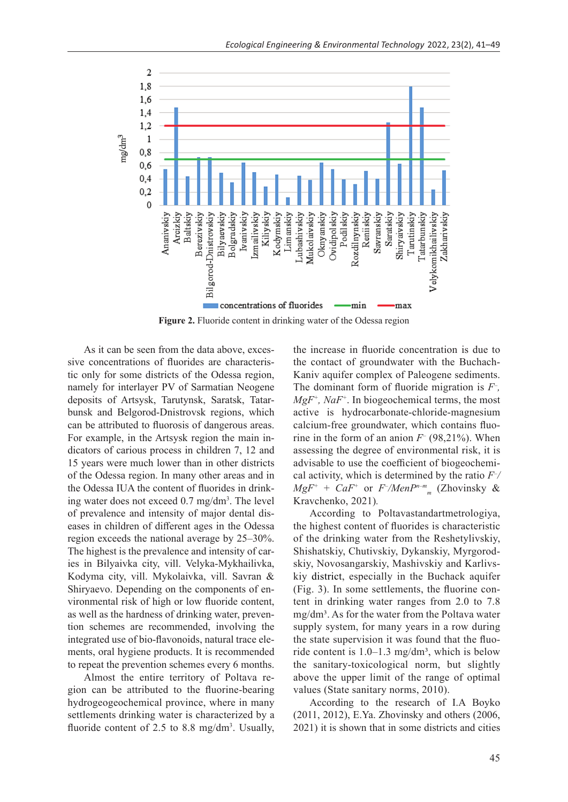

**Figure 2.** Fluoride content in drinking water of the Odessa region

As it can be seen from the data above, excessive concentrations of fluorides are characteristic only for some districts of the Odessa region, namely for interlayer PV of Sarmatian Neogene deposits of Artsysk, Tarutynsk, Saratsk, Tatarbunsk and Belgorod-Dnistrovsk regions, which can be attributed to fluorosis of dangerous areas. For example, in the Artsysk region the main indicators of carious process in children 7, 12 and 15 years were much lower than in other districts of the Odessa region. In many other areas and in the Odessa IUA the content of fluorides in drinking water does not exceed 0.7 mg/dm<sup>3</sup> . The level of prevalence and intensity of major dental diseases in children of different ages in the Odessa region exceeds the national average by 25–30%. The highest is the prevalence and intensity of caries in Bilyaivka city, vill. Velyka-Mykhailivka, Kodyma city, vill. Mykolaivka, vill. Savran & Shiryaevo. Depending on the components of environmental risk of high or low fluoride content, as well as the hardness of drinking water, prevention schemes are recommended, involving the integrated use of bio-flavonoids, natural trace elements, oral hygiene products. It is recommended to repeat the prevention schemes every 6 months.

Almost the entire territory of Poltava region can be attributed to the fluorine-bearing hydrogeogeochemical province, where in many settlements drinking water is characterized by a fluoride content of 2.5 to 8.8 mg/dm<sup>3</sup>. Usually, the increase in fluoride concentration is due to the contact of groundwater with the Buchach-Kaniv aquifer complex of Paleogene sediments. The dominant form of fluoride migration is *F– , MgF+, NaF+*. In biogeochemical terms, the most active is hydrocarbonate-chloride-magnesium calcium-free groundwater, which contains fluorine in the form of an anion  $F^-(98,21\%)$ . When assessing the degree of environmental risk, it is advisable to use the coefficient of biogeochemical activity, which is determined by the ratio *F– / MgF+* + *CaF+* or *F– /МеnРn–m <sup>m</sup>* (Zhovinsky & Kravchenko, 2021)*.* 

According to Poltavastandartmetrologiya, the highest content of fluorides is characteristic of the drinking water from the Reshetylivskiy, Shishatskiy, Chutivskiy, Dykanskiy, Myrgorodskiy, Novosangarskiy, Mashivskiy and Karlivskiy district, especially in the Buchack aquifer (Fig. 3). In some settlements, the fluorine content in drinking water ranges from 2.0 to 7.8  $mg/dm<sup>3</sup>$ . As for the water from the Poltava water supply system, for many years in a row during the state supervision it was found that the fluoride content is  $1.0-1.3$  mg/dm<sup>3</sup>, which is below the sanitary-toxicological norm, but slightly above the upper limit of the range of optimal values (State sanitary norms, 2010).

According to the research of I.A Boyko (2011, 2012), E.Ya. Zhovinsky and others (2006, 2021) it is shown that in some districts and cities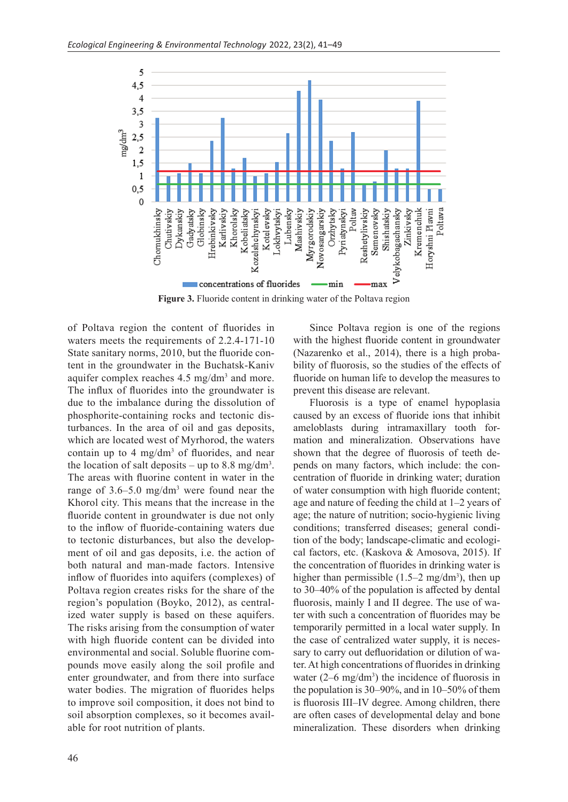

of Poltava region the content of fluorides in waters meets the requirements of 2.2.4-171-10 State sanitary norms, 2010, but the fluoride content in the groundwater in the Buchatsk-Kaniv aquifer complex reaches  $4.5 \text{ mg/dm}^3$  and more. The influx of fluorides into the groundwater is due to the imbalance during the dissolution of phosphorite-containing rocks and tectonic disturbances. In the area of oil and gas deposits, which are located west of Myrhorod, the waters contain up to  $4 \text{ mg/dm}^3$  of fluorides, and near the location of salt deposits – up to 8.8 mg/dm<sup>3</sup>. The areas with fluorine content in water in the range of 3.6–5.0 mg/dm3 were found near the Khorol city. This means that the increase in the fluoride content in groundwater is due not only to the inflow of fluoride-containing waters due to tectonic disturbances, but also the development of oil and gas deposits, i.e. the action of both natural and man-made factors. Intensive inflow of fluorides into aquifers (complexes) of Poltava region creates risks for the share of the region's population (Boyko, 2012), as centralized water supply is based on these aquifers. The risks arising from the consumption of water with high fluoride content can be divided into environmental and social. Soluble fluorine compounds move easily along the soil profile and enter groundwater, and from there into surface water bodies. The migration of fluorides helps to improve soil composition, it does not bind to soil absorption complexes, so it becomes available for root nutrition of plants.

Since Poltava region is one of the regions with the highest fluoride content in groundwater (Nazarenko et al., 2014), there is a high probability of fluorosis, so the studies of the effects of fluoride on human life to develop the measures to prevent this disease are relevant.

Fluorosis is a type of enamel hypoplasia caused by an excess of fluoride ions that inhibit ameloblasts during intramaxillary tooth formation and mineralization. Observations have shown that the degree of fluorosis of teeth depends on many factors, which include: the concentration of fluoride in drinking water; duration of water consumption with high fluoride content; age and nature of feeding the child at 1–2 years of age; the nature of nutrition; socio-hygienic living conditions; transferred diseases; general condition of the body; landscape-climatic and ecological factors, etc. (Kaskova & Amosova, 2015). If the concentration of fluorides in drinking water is higher than permissible  $(1.5-2 \text{ mg/dm}^3)$ , then up to 30–40% of the population is affected by dental fluorosis, mainly I and II degree. The use of water with such a concentration of fluorides may be temporarily permitted in a local water supply. In the case of centralized water supply, it is necessary to carry out defluoridation or dilution of water. At high concentrations of fluorides in drinking water  $(2-6 \text{ mg/dm}^3)$  the incidence of fluorosis in the population is 30–90%, and in 10–50% of them is fluorosis III–IV degree. Among children, there are often cases of developmental delay and bone mineralization. These disorders when drinking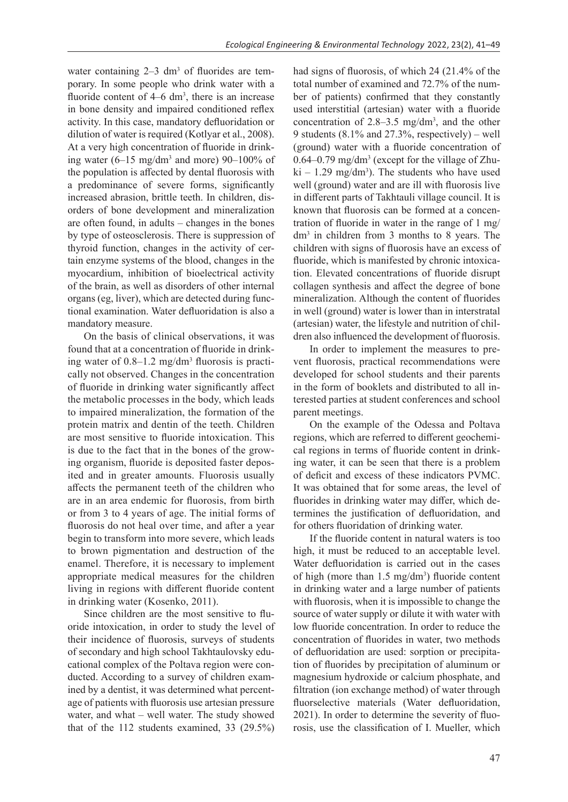water containing  $2-3$  dm<sup>3</sup> of fluorides are temporary. In some people who drink water with a fluoride content of  $4-6$  dm<sup>3</sup>, there is an increase in bone density and impaired conditioned reflex activity. In this case, mandatory defluoridation or dilution of water is required (Kotlyar et al., 2008). At a very high concentration of fluoride in drinking water  $(6-15 \text{ mg/dm}^3 \text{ and more})$  90-100% of the population is affected by dental fluorosis with a predominance of severe forms, significantly increased abrasion, brittle teeth. In children, disorders of bone development and mineralization are often found, in adults – changes in the bones by type of osteosclerosis. There is suppression of thyroid function, changes in the activity of certain enzyme systems of the blood, changes in the myocardium, inhibition of bioelectrical activity of the brain, as well as disorders of other internal organs (eg, liver), which are detected during functional examination. Water defluoridation is also a mandatory measure.

On the basis of clinical observations, it was found that at a concentration of fluoride in drinking water of 0.8–1.2 mg/dm3 fluorosis is practically not observed. Changes in the concentration of fluoride in drinking water significantly affect the metabolic processes in the body, which leads to impaired mineralization, the formation of the protein matrix and dentin of the teeth. Children are most sensitive to fluoride intoxication. This is due to the fact that in the bones of the growing organism, fluoride is deposited faster deposited and in greater amounts. Fluorosis usually affects the permanent teeth of the children who are in an area endemic for fluorosis, from birth or from 3 to 4 years of age. The initial forms of fluorosis do not heal over time, and after a year begin to transform into more severe, which leads to brown pigmentation and destruction of the enamel. Therefore, it is necessary to implement appropriate medical measures for the children living in regions with different fluoride content in drinking water (Kosenko, 2011).

Since children are the most sensitive to fluoride intoxication, in order to study the level of their incidence of fluorosis, surveys of students of secondary and high school Takhtaulovsky educational complex of the Poltava region were conducted. According to a survey of children examined by a dentist, it was determined what percentage of patients with fluorosis use artesian pressure water, and what – well water. The study showed that of the 112 students examined, 33 (29.5%)

had signs of fluorosis, of which 24 (21.4% of the total number of examined and 72.7% of the number of patients) confirmed that they constantly used interstitial (artesian) water with a fluoride concentration of  $2.8-3.5$  mg/dm<sup>3</sup>, and the other 9 students (8.1% and 27.3%, respectively) – well (ground) water with a fluoride concentration of  $0.64 - 0.79$  mg/dm<sup>3</sup> (except for the village of Zhu $ki - 1.29$  mg/dm<sup>3</sup>). The students who have used well (ground) water and are ill with fluorosis live in different parts of Takhtauli village council. It is known that fluorosis can be formed at a concentration of fluoride in water in the range of 1 mg/ dm3 in children from 3 months to 8 years. The children with signs of fluorosis have an excess of fluoride, which is manifested by chronic intoxication. Elevated concentrations of fluoride disrupt collagen synthesis and affect the degree of bone mineralization. Although the content of fluorides in well (ground) water is lower than in interstratal (artesian) water, the lifestyle and nutrition of children also influenced the development of fluorosis.

In order to implement the measures to prevent fluorosis, practical recommendations were developed for school students and their parents in the form of booklets and distributed to all interested parties at student conferences and school parent meetings.

On the example of the Odessa and Poltava regions, which are referred to different geochemical regions in terms of fluoride content in drinking water, it can be seen that there is a problem of deficit and excess of these indicators PVMC. It was obtained that for some areas, the level of fluorides in drinking water may differ, which determines the justification of defluoridation, and for others fluoridation of drinking water.

If the fluoride content in natural waters is too high, it must be reduced to an acceptable level. Water defluoridation is carried out in the cases of high (more than  $1.5 \text{ mg/dm}^3$ ) fluoride content in drinking water and a large number of patients with fluorosis, when it is impossible to change the source of water supply or dilute it with water with low fluoride concentration. In order to reduce the concentration of fluorides in water, two methods of defluoridation are used: sorption or precipitation of fluorides by precipitation of aluminum or magnesium hydroxide or calcium phosphate, and filtration (ion exchange method) of water through fluorselective materials (Water defluoridation, 2021). In order to determine the severity of fluorosis, use the classification of I. Mueller, which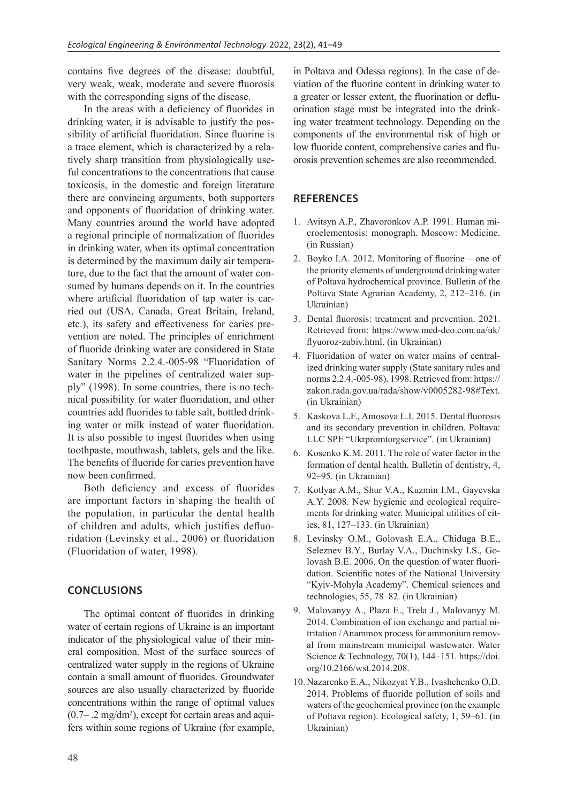contains five degrees of the disease: doubtful, very weak, weak, moderate and severe fluorosis with the corresponding signs of the disease.

In the areas with a deficiency of fluorides in drinking water, it is advisable to justify the possibility of artificial fluoridation. Since fluorine is a trace element, which is characterized by a relatively sharp transition from physiologically useful concentrations to the concentrations that cause toxicosis, in the domestic and foreign literature there are convincing arguments, both supporters and opponents of fluoridation of drinking water. Many countries around the world have adopted a regional principle of normalization of fluorides in drinking water, when its optimal concentration is determined by the maximum daily air temperature, due to the fact that the amount of water consumed by humans depends on it. In the countries where artificial fluoridation of tap water is carried out (USA, Canada, Great Britain, Ireland, etc.), its safety and effectiveness for caries prevention are noted. The principles of enrichment of fluoride drinking water are considered in State Sanitary Norms 2.2.4.-005-98 "Fluoridation of water in the pipelines of centralized water supply" (1998). In some countries, there is no technical possibility for water fluoridation, and other countries add fluorides to table salt, bottled drinking water or milk instead of water fluoridation. It is also possible to ingest fluorides when using toothpaste, mouthwash, tablets, gels and the like. The benefits of fluoride for caries prevention have now been confirmed.

Both deficiency and excess of fluorides are important factors in shaping the health of the population, in particular the dental health of children and adults, which justifies defluoridation (Levinsky et al., 2006) or fluoridation (Fluoridation of water, 1998).

### **CONCLUSIONS**

The optimal content of fluorides in drinking water of certain regions of Ukraine is an important indicator of the physiological value of their mineral composition. Most of the surface sources of centralized water supply in the regions of Ukraine contain a small amount of fluorides. Groundwater sources are also usually characterized by fluoride concentrations within the range of optimal values  $(0.7 - .2 \text{ mg/dm}^3)$ , except for certain areas and aquifers within some regions of Ukraine (for example,

in Poltava and Odessa regions). In the case of deviation of the fluorine content in drinking water to a greater or lesser extent, the fluorination or defluorination stage must be integrated into the drinking water treatment technology. Depending on the components of the environmental risk of high or low fluoride content, comprehensive caries and fluorosis prevention schemes are also recommended.

#### **REFERENCES**

- 1. Avitsyn A.P., Zhavoronkov A.P. 1991. Human microelementosis: monograph. Moscow: Medicine. (in Russian)
- 2. Boyko I.A. 2012. Monitoring of fluorine one of the priority elements of underground drinking water of Poltava hydrochemical province. Bulletin of the Poltava State Agrarian Academy, 2, 212–216. (in Ukrainian)
- 3. Dental fluorosis: treatment and prevention. 2021. Retrieved from: https://www.med-deo.com.ua/uk/ flyuoroz-zubiv.html. (in Ukrainian)
- 4. Fluoridation of water on water mains of centralized drinking water supply (State sanitary rules and norms 2.2.4.-005-98). 1998. Retrieved from: https:// zakon.rada.gov.ua/rada/show/v0005282-98#Text. (in Ukrainian)
- 5. Kaskova L.F., Amosova L.I. 2015. Dental fluorosis and its secondary prevention in children. Poltava: LLC SPE "Ukrpromtorgservice". (in Ukrainian)
- 6. Kosenko K.M. 2011. The role of water factor in the formation of dental health. Bulletin of dentistry, 4, 92–95. (in Ukrainian)
- 7. Kotlyar A.M., Shur V.A., Kuzmin I.M., Gayevska A.Y. 2008. New hygienic and ecological requirements for drinking water. Municipal utilities of cities, 81, 127–133. (in Ukrainian)
- 8. Levinsky O.M., Golovash E.A., Chiduga B.E., Seleznev B.Y., Burlay V.A., Duchinsky I.S., Golovash B.E. 2006. On the question of water fluoridation. Scientific notes of the National University "Kyiv-Mohyla Academy". Chemical sciences and technologies, 55, 78–82. (in Ukrainian)
- 9. Malovanyy А., Plaza E., Trela J., Malovanyy M. 2014. Combination of ion exchange and partial nitritation / Anammox process for ammonium removal from mainstream municipal wastewater. Water Science & Technology, 70(1), 144-151. https://doi. org/10.2166/wst.2014.208.
- 10. Nazarenko E.A., Nikozyat Y.B., Ivashchenko O.D. 2014. Problems of fluoride pollution of soils and waters of the geochemical province (on the example of Poltava region). Ecological safety, 1, 59–61. (in Ukrainian)